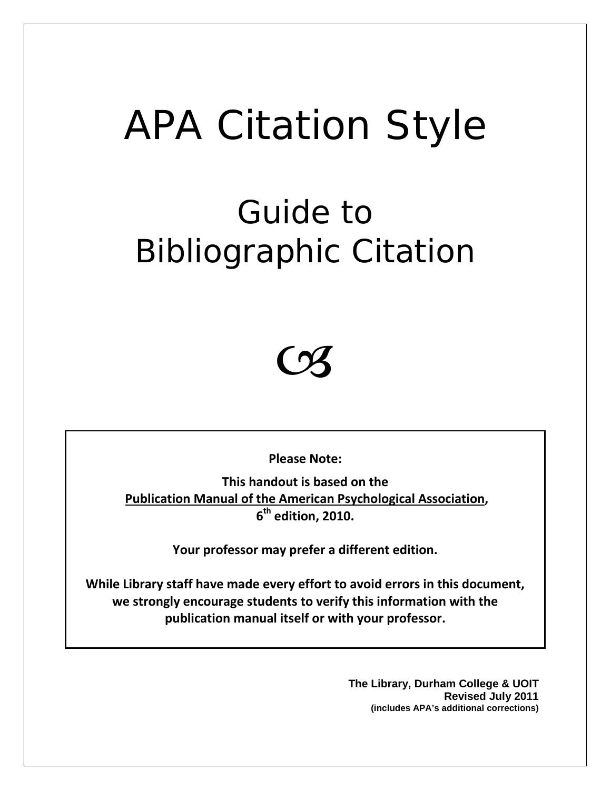# APA Citation Style

## Guide to Bibliographic Citation



**Please Note:**

**This handout is based on the Publication Manual of the American Psychological Association, 6th edition, 2010.**

**Your professor may prefer a different edition.**

**While Library staff have made every effort to avoid errors in this document, we strongly encourage students to verify this information with the publication manual itself or with your professor.**

> **The Library, Durham College & UOIT Revised July 2011 (includes APA's additional corrections)**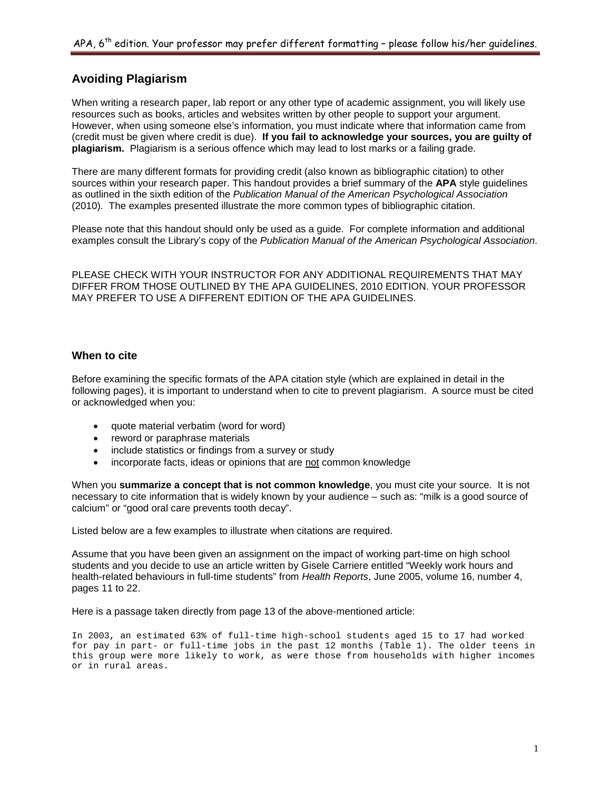## **Avoiding Plagiarism**

When writing a research paper, lab report or any other type of academic assignment, you will likely use resources such as books, articles and websites written by other people to support your argument. However, when using someone else's information, you must indicate where that information came from (credit must be given where credit is due). **If you fail to acknowledge your sources, you are guilty of plagiarism.** Plagiarism is a serious offence which may lead to lost marks or a failing grade.

There are many different formats for providing credit (also known as bibliographic citation) to other sources within your research paper. This handout provides a brief summary of the **APA** style guidelines as outlined in the sixth edition of the *Publication Manual of the American Psychological Association* (2010)*.* The examples presented illustrate the more common types of bibliographic citation.

Please note that this handout should only be used as a guide. For complete information and additional examples consult the Library's copy of the *Publication Manual of the American Psychological Association*.

PLEASE CHECK WITH YOUR INSTRUCTOR FOR ANY ADDITIONAL REQUIREMENTS THAT MAY DIFFER FROM THOSE OUTLINED BY THE APA GUIDELINES, 2010 EDITION. YOUR PROFESSOR MAY PREFER TO USE A DIFFERENT EDITION OF THE APA GUIDELINES.

## **When to cite**

Before examining the specific formats of the APA citation style (which are explained in detail in the following pages), it is important to understand when to cite to prevent plagiarism. A source must be cited or acknowledged when you:

- quote material verbatim (word for word)
- reword or paraphrase materials
- include statistics or findings from a survey or study
- incorporate facts, ideas or opinions that are not common knowledge

When you **summarize a concept that is not common knowledge**, you must cite your source. It is not necessary to cite information that is widely known by your audience – such as: "milk is a good source of calcium" or "good oral care prevents tooth decay".

Listed below are a few examples to illustrate when citations are required.

Assume that you have been given an assignment on the impact of working part-time on high school students and you decide to use an article written by Gisele Carriere entitled "Weekly work hours and health-related behaviours in full-time students" from *Health Reports*, June 2005, volume 16, number 4, pages 11 to 22.

Here is a passage taken directly from page 13 of the above-mentioned article:

In 2003, an estimated 63% of full-time high-school students aged 15 to 17 had worked for pay in part- or full-time jobs in the past 12 months (Table 1). The older teens in this group were more likely to work, as were those from households with higher incomes or in rural areas.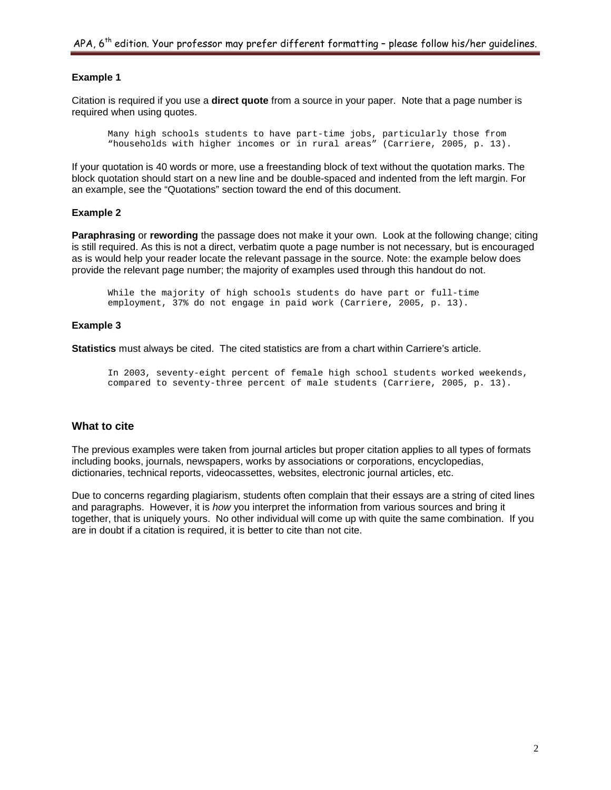## **Example 1**

Citation is required if you use a **direct quote** from a source in your paper. Note that a page number is required when using quotes.

Many high schools students to have part-time jobs, particularly those from "households with higher incomes or in rural areas" (Carriere, 2005, p. 13).

If your quotation is 40 words or more, use a freestanding block of text without the quotation marks. The block quotation should start on a new line and be double-spaced and indented from the left margin. For an example, see the "Quotations" section toward the end of this document.

## **Example 2**

**Paraphrasing** or **rewording** the passage does not make it your own. Look at the following change; citing is still required. As this is not a direct, verbatim quote a page number is not necessary, but is encouraged as is would help your reader locate the relevant passage in the source. Note: the example below does provide the relevant page number; the majority of examples used through this handout do not.

While the majority of high schools students do have part or full-time employment, 37% do not engage in paid work (Carriere, 2005, p. 13).

#### **Example 3**

**Statistics** must always be cited. The cited statistics are from a chart within Carriere's article.

In 2003, seventy-eight percent of female high school students worked weekends, compared to seventy-three percent of male students (Carriere, 2005, p. 13).

## **What to cite**

The previous examples were taken from journal articles but proper citation applies to all types of formats including books, journals, newspapers, works by associations or corporations, encyclopedias, dictionaries, technical reports, videocassettes, websites, electronic journal articles, etc.

Due to concerns regarding plagiarism, students often complain that their essays are a string of cited lines and paragraphs. However, it is *how* you interpret the information from various sources and bring it together, that is uniquely yours. No other individual will come up with quite the same combination. If you are in doubt if a citation is required, it is better to cite than not cite.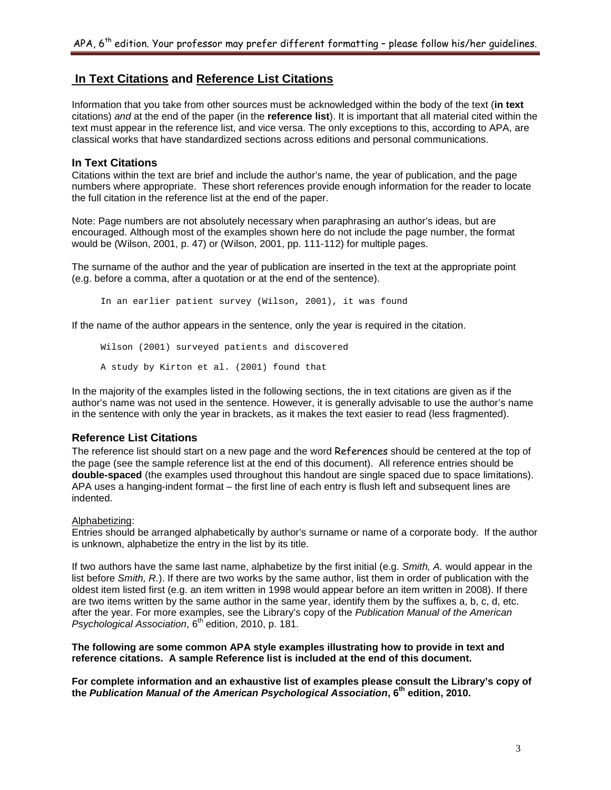## **In Text Citations and Reference List Citations**

Information that you take from other sources must be acknowledged within the body of the text (**in text**  citations) *and* at the end of the paper (in the **reference list**). It is important that all material cited within the text must appear in the reference list, and vice versa. The only exceptions to this, according to APA, are classical works that have standardized sections across editions and personal communications.

## **In Text Citations**

Citations within the text are brief and include the author's name, the year of publication, and the page numbers where appropriate. These short references provide enough information for the reader to locate the full citation in the reference list at the end of the paper.

Note: Page numbers are not absolutely necessary when paraphrasing an author's ideas, but are encouraged. Although most of the examples shown here do not include the page number, the format would be (Wilson, 2001, p. 47) or (Wilson, 2001, pp. 111-112) for multiple pages.

The surname of the author and the year of publication are inserted in the text at the appropriate point (e.g. before a comma, after a quotation or at the end of the sentence).

In an earlier patient survey (Wilson, 2001), it was found

If the name of the author appears in the sentence, only the year is required in the citation.

```
Wilson (2001) surveyed patients and discovered 
A study by Kirton et al. (2001) found that
```
In the majority of the examples listed in the following sections, the in text citations are given as if the author's name was not used in the sentence. However, it is generally advisable to use the author's name in the sentence with only the year in brackets, as it makes the text easier to read (less fragmented).

## **Reference List Citations**

The reference list should start on a new page and the word References should be centered at the top of the page (see the sample reference list at the end of this document). All reference entries should be **double-spaced** (the examples used throughout this handout are single spaced due to space limitations). APA uses a hanging-indent format – the first line of each entry is flush left and subsequent lines are indented.

## Alphabetizing:

Entries should be arranged alphabetically by author's surname or name of a corporate body. If the author is unknown, alphabetize the entry in the list by its title.

If two authors have the same last name, alphabetize by the first initial (e.g. *Smith, A.* would appear in the list before *Smith, R.*). If there are two works by the same author, list them in order of publication with the oldest item listed first (e.g. an item written in 1998 would appear before an item written in 2008). If there are two items written by the same author in the same year, identify them by the suffixes a, b, c, d, etc. after the year. For more examples, see the Library's copy of the *Publication Manual of the American Psychological Association*, 6<sup>th</sup> edition, 2010, p. 181.

**The following are some common APA style examples illustrating how to provide in text and reference citations. A sample Reference list is included at the end of this document.**

**For complete information and an exhaustive list of examples please consult the Library's copy of the** *Publication Manual of the American Psychological Association***, 6th edition, 2010.**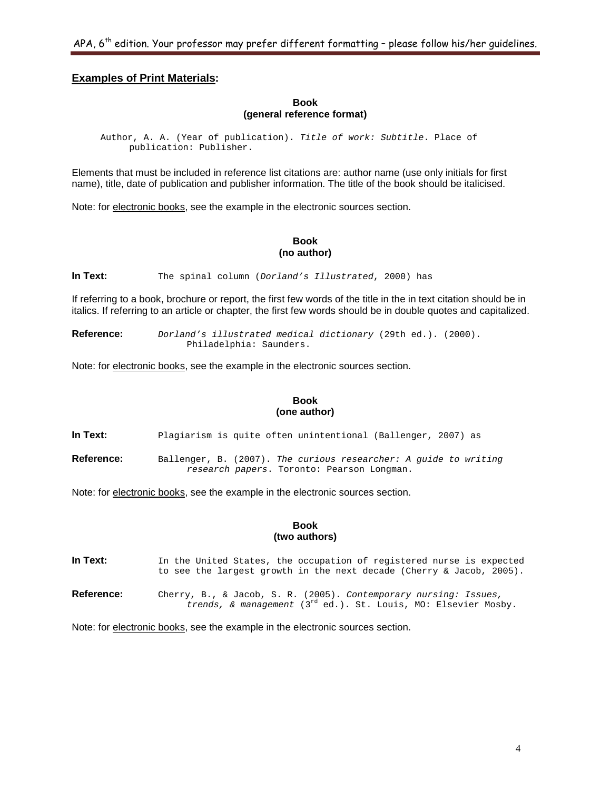## **Examples of Print Materials:**

**Book (general reference format)**

Author, A. A. (Year of publication). *Title of work: Subtitle*. Place of publication: Publisher.

Elements that must be included in reference list citations are: author name (use only initials for first name), title, date of publication and publisher information. The title of the book should be italicised.

Note: for electronic books, see the example in the electronic sources section.

## **Book (no author)**

**In Text:** The spinal column (*Dorland's Illustrated*, 2000) has

If referring to a book, brochure or report, the first few words of the title in the in text citation should be in italics. If referring to an article or chapter, the first few words should be in double quotes and capitalized.

**Reference:** *Dorland's illustrated medical dictionary* (29th ed.). (2000). Philadelphia: Saunders.

Note: for electronic books, see the example in the electronic sources section.

#### **Book (one author)**

**In Text:** Plagiarism is quite often unintentional (Ballenger, 2007) as

**Reference:** Ballenger, B. (2007). *The curious researcher: A guide to writing research papers*. Toronto: Pearson Longman.

Note: for electronic books, see the example in the electronic sources section.

#### **Book (two authors)**

In Text: In the United States, the occupation of registered nurse is expected to see the largest growth in the next decade (Cherry & Jacob, 2005). **Reference:** Cherry, B., & Jacob, S. R. (2005). *Contemporary nursing: Issues, trends, & management* (3rd ed.). St. Louis, MO: Elsevier Mosby.

Note: for electronic books, see the example in the electronic sources section.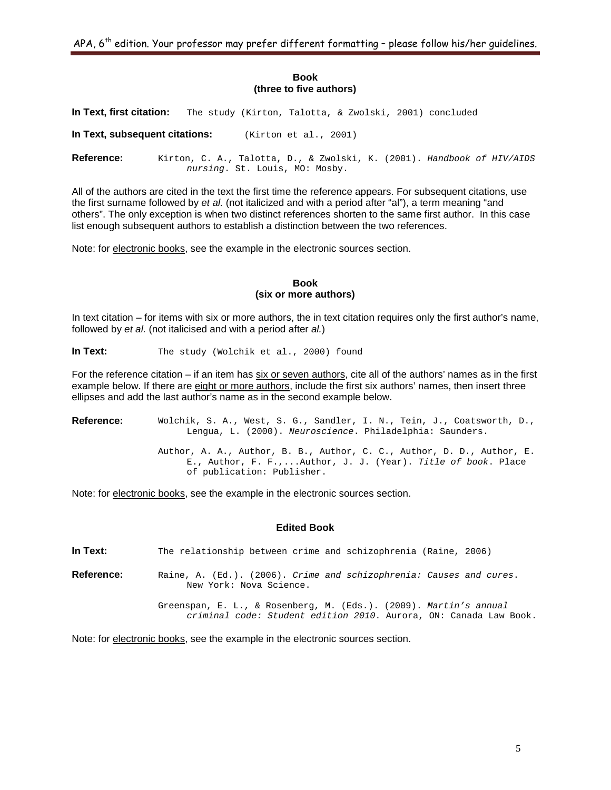APA,  $6<sup>th</sup>$  edition. Your professor may prefer different formatting - please follow his/her guidelines.

## **Book (three to five authors)**

**In Text, first citation:** The study (Kirton, Talotta, & Zwolski, 2001) concluded

**In Text, subsequent citations:** (Kirton et al., 2001)

**Reference:** Kirton, C. A., Talotta, D., & Zwolski, K. (2001). *Handbook of HIV/AIDS nursing*. St. Louis, MO: Mosby.

All of the authors are cited in the text the first time the reference appears. For subsequent citations, use the first surname followed by *et al.* (not italicized and with a period after "al"), a term meaning "and others". The only exception is when two distinct references shorten to the same first author. In this case list enough subsequent authors to establish a distinction between the two references.

Note: for electronic books, see the example in the electronic sources section.

## **Book (six or more authors)**

In text citation – for items with six or more authors, the in text citation requires only the first author's name, followed by *et al.* (not italicised and with a period after *al.*)

In Text: The study (Wolchik et al., 2000) found

For the reference citation – if an item has six or seven authors, cite all of the authors' names as in the first example below. If there are eight or more authors, include the first six authors' names, then insert three ellipses and add the last author's name as in the second example below.

**Reference:** Wolchik, S. A., West, S. G., Sandler, I. N., Tein, J., Coatsworth, D., Lengua, L. (2000). *Neuroscience*. Philadelphia: Saunders. Author, A. A., Author, B. B., Author, C. C., Author, D. D., Author, E. E., Author, F. F.,...Author, J. J. (Year). *Title of book*. Place of publication: Publisher.

Note: for electronic books, see the example in the electronic sources section.

## **Edited Book**

**In Text:** The relationship between crime and schizophrenia (Raine, 2006)

**Reference:** Raine, A. (Ed.). (2006). *Crime and schizophrenia: Causes and cures*. New York: Nova Science.

> Greenspan, E. L., & Rosenberg, M. (Eds.). (2009). *Martin's annual criminal code: Student edition 2010*. Aurora, ON: Canada Law Book.

Note: for electronic books, see the example in the electronic sources section.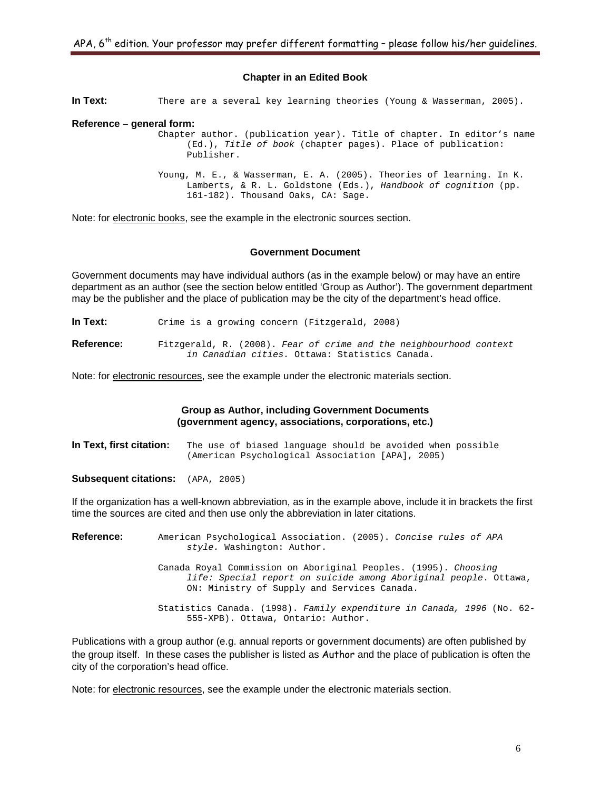## **Chapter in an Edited Book**

**In Text:** There are a several key learning theories (Young & Wasserman, 2005).

#### **Reference – general form:**

Chapter author. (publication year). Title of chapter. In editor's name (Ed.), *Title of book* (chapter pages). Place of publication: Publisher.

Young, M. E., & Wasserman, E. A. (2005). Theories of learning. In K. Lamberts, & R. L. Goldstone (Eds.), *Handbook of cognition* (pp. 161-182). Thousand Oaks, CA: Sage.

Note: for electronic books, see the example in the electronic sources section.

#### **Government Document**

Government documents may have individual authors (as in the example below) or may have an entire department as an author (see the section below entitled 'Group as Author'). The government department may be the publisher and the place of publication may be the city of the department's head office.

In Text: Crime is a growing concern (Fitzgerald, 2008)

**Reference:** Fitzgerald, R. (2008). *Fear of crime and the neighbourhood context in Canadian cities.* Ottawa: Statistics Canada*.*

Note: for electronic resources, see the example under the electronic materials section.

#### **Group as Author, including Government Documents (government agency, associations, corporations, etc.)**

**In Text, first citation:** The use of biased language should be avoided when possible (American Psychological Association [APA], 2005)

**Subsequent citations:** (APA, 2005)

If the organization has a well-known abbreviation, as in the example above, include it in brackets the first time the sources are cited and then use only the abbreviation in later citations.

**Reference:** American Psychological Association. (2005). *Concise rules of APA style.* Washington: Author. Canada Royal Commission on Aboriginal Peoples. (1995). *Choosing life: Special report on suicide among Aboriginal people*. Ottawa, ON: Ministry of Supply and Services Canada. Statistics Canada. (1998). *Family expenditure in Canada, 1996* (No. 62- 555-XPB). Ottawa, Ontario: Author.

Publications with a group author (e.g. annual reports or government documents) are often published by the group itself. In these cases the publisher is listed as Author and the place of publication is often the city of the corporation's head office.

Note: for electronic resources, see the example under the electronic materials section.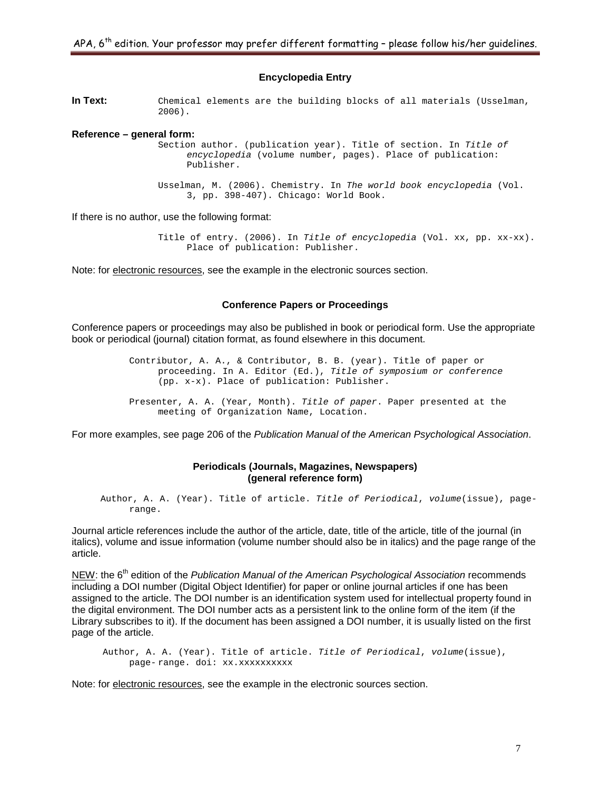## **Encyclopedia Entry**

**In Text:** Chemical elements are the building blocks of all materials (Usselman, 2006).

#### **Reference – general form:**

Section author. (publication year). Title of section. In *Title of encyclopedia* (volume number, pages). Place of publication: Publisher.

Usselman, M. (2006). Chemistry. In *The world book encyclopedia* (Vol. 3, pp. 398-407). Chicago: World Book.

If there is no author, use the following format:

Title of entry. (2006). In *Title of encyclopedia* (Vol. xx, pp. xx-xx). Place of publication: Publisher.

Note: for electronic resources, see the example in the electronic sources section.

## **Conference Papers or Proceedings**

Conference papers or proceedings may also be published in book or periodical form. Use the appropriate book or periodical (journal) citation format, as found elsewhere in this document.

> Contributor, A. A., & Contributor, B. B. (year). Title of paper or proceeding*.* In A. Editor (Ed.), *Title of symposium or conference* (pp. x-x). Place of publication: Publisher. Presenter, A. A. (Year, Month). *Title of paper*. Paper presented at the meeting of Organization Name, Location.

For more examples, see page 206 of the *Publication Manual of the American Psychological Association*.

## **Periodicals (Journals, Magazines, Newspapers) (general reference form)**

Author, A. A. (Year). Title of article. *Title of Periodical*, *volume*(issue), pagerange.

Journal article references include the author of the article, date, title of the article, title of the journal (in italics), volume and issue information (volume number should also be in italics) and the page range of the article.

NEW: the 6<sup>th</sup> edition of the *Publication Manual of the American Psychological Association* recommends including a DOI number (Digital Object Identifier) for paper or online journal articles if one has been assigned to the article. The DOI number is an identification system used for intellectual property found in the digital environment. The DOI number acts as a persistent link to the online form of the item (if the Library subscribes to it). If the document has been assigned a DOI number, it is usually listed on the first page of the article.

Author, A. A. (Year). Title of article. *Title of Periodical*, *volume*(issue), page-range. doi: xx.xxxxxxxxx

Note: for electronic resources, see the example in the electronic sources section.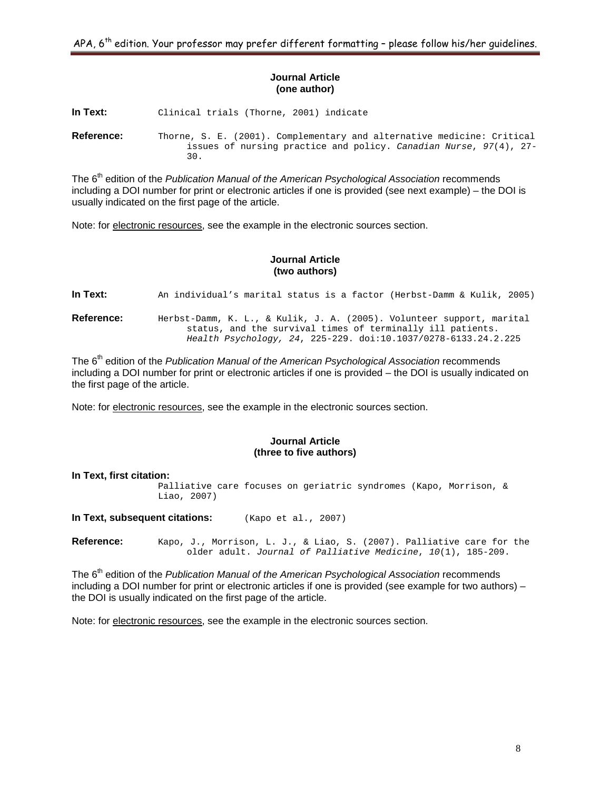## **Journal Article (one author)**

**In Text:** Clinical trials (Thorne, 2001) indicate

**Reference:** Thorne, S. E. (2001). Complementary and alternative medicine: Critical issues of nursing practice and policy. *Canadian Nurse*, *97*(4), 27- 30.

The 6<sup>th</sup> edition of the *Publication Manual of the American Psychological Association* recommends including a DOI number for print or electronic articles if one is provided (see next example) – the DOI is usually indicated on the first page of the article.

Note: for electronic resources, see the example in the electronic sources section.

## **Journal Article (two authors)**

**In Text:** An individual's marital status is a factor (Herbst-Damm & Kulik, 2005)

**Reference:** Herbst-Damm, K. L., & Kulik, J. A. (2005). Volunteer support, marital status, and the survival times of terminally ill patients. *Health Psychology, 24*, 225-229. doi:10.1037/0278-6133.24.2.225

The 6<sup>th</sup> edition of the *Publication Manual of the American Psychological Association* recommends including a DOI number for print or electronic articles if one is provided – the DOI is usually indicated on the first page of the article.

Note: for electronic resources, see the example in the electronic sources section.

## **Journal Article (three to five authors)**

**In Text, first citation:** Palliative care focuses on geriatric syndromes (Kapo, Morrison, & Liao, 2007)

**In Text, subsequent citations:** (Kapo et al., 2007)

**Reference:** Kapo, J., Morrison, L. J., & Liao, S. (2007). Palliative care for the older adult. *Journal of Palliative Medicine*, *10*(1), 185-209.

The 6<sup>th</sup> edition of the *Publication Manual of the American Psychological Association* recommends including a DOI number for print or electronic articles if one is provided (see example for two authors) – the DOI is usually indicated on the first page of the article.

Note: for electronic resources, see the example in the electronic sources section.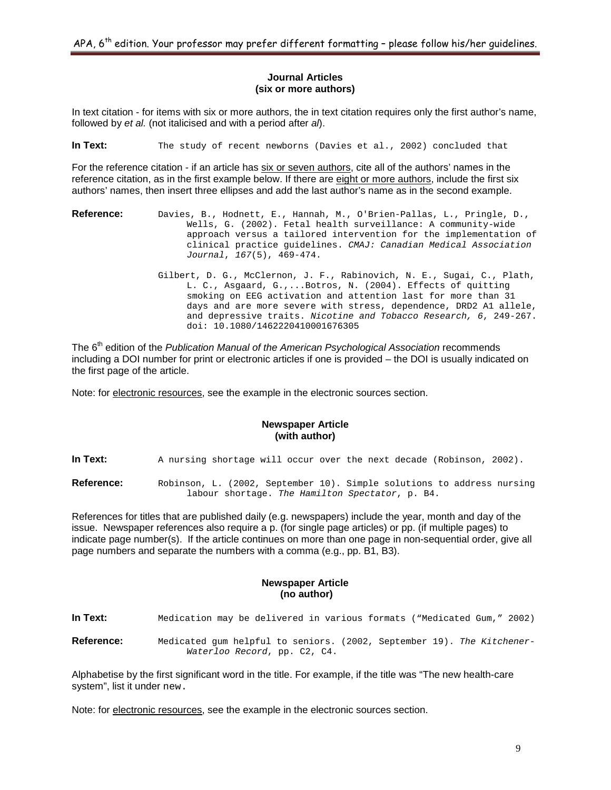## **Journal Articles (six or more authors)**

In text citation - for items with six or more authors, the in text citation requires only the first author's name, followed by *et al.* (not italicised and with a period after *al*).

**In Text:** The study of recent newborns (Davies et al., 2002) concluded that

For the reference citation - if an article has six or seven authors, cite all of the authors' names in the reference citation, as in the first example below. If there are eight or more authors, include the first six authors' names, then insert three ellipses and add the last author's name as in the second example.

- **Reference:** Davies, B., Hodnett, E., Hannah, M., O'Brien-Pallas, L., Pringle, D., Wells, G. (2002). Fetal health surveillance: A community-wide approach versus a tailored intervention for the implementation of clinical practice guidelines. *CMAJ: Canadian Medical Association Journal*, *167*(5), 469-474.
	- Gilbert, D. G., McClernon, J. F., Rabinovich, N. E., Sugai, C., Plath, L. C., Asgaard, G.,...Botros, N. (2004). Effects of quitting smoking on EEG activation and attention last for more than 31 days and are more severe with stress, dependence, DRD2 A1 allele, and depressive traits. *Nicotine and Tobacco Research, 6*, 249-267. doi: 10.1080/1462220410001676305

The 6<sup>th</sup> edition of the *Publication Manual of the American Psychological Association* recommends including a DOI number for print or electronic articles if one is provided – the DOI is usually indicated on the first page of the article.

Note: for electronic resources, see the example in the electronic sources section.

## **Newspaper Article (with author)**

**In Text:** A nursing shortage will occur over the next decade (Robinson, 2002).

**Reference:** Robinson, L. (2002, September 10). Simple solutions to address nursing labour shortage. *The Hamilton Spectator*, p. B4.

References for titles that are published daily (e.g. newspapers) include the year, month and day of the issue. Newspaper references also require a p. (for single page articles) or pp. (if multiple pages) to indicate page number(s). If the article continues on more than one page in non-sequential order, give all page numbers and separate the numbers with a comma (e.g., pp. B1, B3).

## **Newspaper Article (no author)**

**In Text:** Medication may be delivered in various formats ("Medicated Gum," 2002)

**Reference:** Medicated gum helpful to seniors. (2002, September 19). *The Kitchener-Waterloo Record*, pp. C2, C4.

Alphabetise by the first significant word in the title. For example, if the title was "The new health-care system", list it under new.

Note: for electronic resources, see the example in the electronic sources section.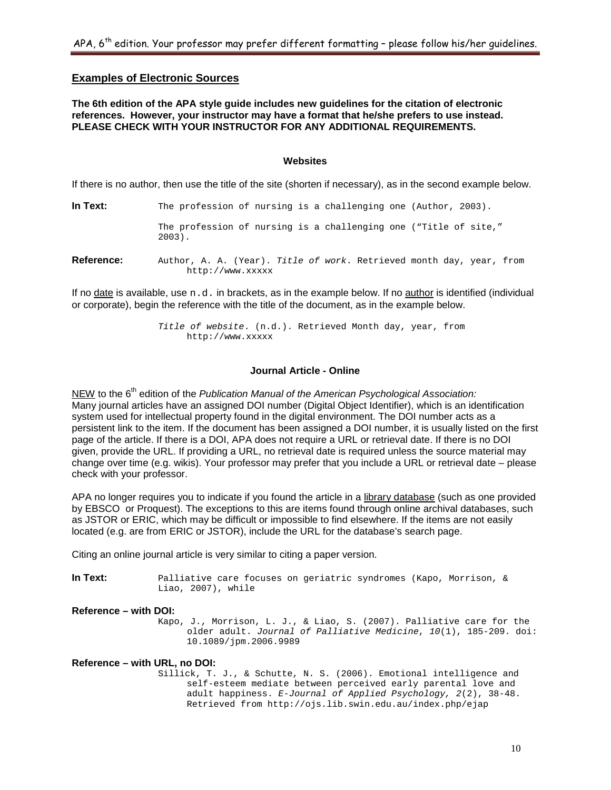## **Examples of Electronic Sources**

## **The 6th edition of the APA style guide includes new guidelines for the citation of electronic references. However, your instructor may have a format that he/she prefers to use instead. PLEASE CHECK WITH YOUR INSTRUCTOR FOR ANY ADDITIONAL REQUIREMENTS.**

#### **Websites**

If there is no author, then use the title of the site (shorten if necessary), as in the second example below.

| In Text:          | The profession of nursing is a challenging one (Author, 2003).                           |
|-------------------|------------------------------------------------------------------------------------------|
|                   | The profession of nursing is a challenging one ("Title of site,"<br>$2003$ .             |
| <b>Reference:</b> | Author, A. A. (Year). Title of work. Retrieved month day, year, from<br>http://www.xxxxx |

If no date is available, use  $n.d.$  in brackets, as in the example below. If no author is identified (individual or corporate), begin the reference with the title of the document, as in the example below.

> *Title of website*. (n.d.). Retrieved Month day, year, from http://www.xxxxx

## **Journal Article - Online**

NEW to the 6<sup>th</sup> edition of the *Publication Manual of the American Psychological Association:* Many journal articles have an assigned DOI number (Digital Object Identifier), which is an identification system used for intellectual property found in the digital environment. The DOI number acts as a persistent link to the item. If the document has been assigned a DOI number, it is usually listed on the first page of the article. If there is a DOI, APA does not require a URL or retrieval date. If there is no DOI given, provide the URL. If providing a URL, no retrieval date is required unless the source material may change over time (e.g. wikis). Your professor may prefer that you include a URL or retrieval date – please check with your professor.

APA no longer requires you to indicate if you found the article in a library database (such as one provided by EBSCO or Proquest). The exceptions to this are items found through online archival databases, such as JSTOR or ERIC, which may be difficult or impossible to find elsewhere. If the items are not easily located (e.g. are from ERIC or JSTOR), include the URL for the database's search page.

Citing an online journal article is very similar to citing a paper version.

**In Text:** Palliative care focuses on geriatric syndromes (Kapo, Morrison, & Liao, 2007), while

## **Reference – with DOI:**

Kapo, J., Morrison, L. J., & Liao, S. (2007). Palliative care for the older adult. *Journal of Palliative Medicine*, *10*(1), 185-209. doi: 10.1089/jpm.2006.9989

## **Reference – with URL, no DOI:**

Sillick, T. J., & Schutte, N. S. (2006). Emotional intelligence and self-esteem mediate between perceived early parental love and adult happiness. *E-Journal of Applied Psychology, 2*(2), 38-48. Retrieved from http://ojs.lib.swin.edu.au/index.php/ejap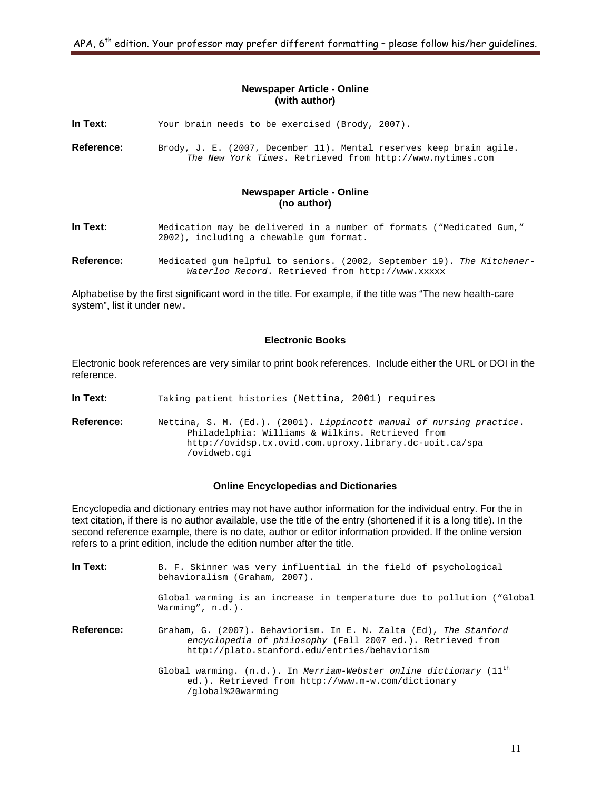## **Newspaper Article - Online (with author)**

**In Text:** Your brain needs to be exercised (Brody, 2007).

**Reference:** Brody, J. E. (2007, December 11). Mental reserves keep brain agile. *The New York Times*. Retrieved from http://www.nytimes.com

## **Newspaper Article - Online (no author)**

- **In Text:** Medication may be delivered in a number of formats ("Medicated Gum," 2002), including a chewable gum format.
- **Reference:** Medicated gum helpful to seniors. (2002, September 19). *The Kitchener-Waterloo Record*. Retrieved from http://www.xxxxx

Alphabetise by the first significant word in the title. For example, if the title was "The new health-care system", list it under new.

## **Electronic Books**

Electronic book references are very similar to print book references. Include either the URL or DOI in the reference.

**In Text:** Taking patient histories (Nettina, 2001) requires

**Reference:** Nettina, S. M. (Ed.). (2001). *Lippincott manual of nursing practice*. Philadelphia: Williams & Wilkins. Retrieved from http://ovidsp.tx.ovid.com.uproxy.library.dc-uoit.ca/spa /ovidweb.cgi

#### **Online Encyclopedias and Dictionaries**

Encyclopedia and dictionary entries may not have author information for the individual entry. For the in text citation, if there is no author available, use the title of the entry (shortened if it is a long title). In the second reference example, there is no date, author or editor information provided. If the online version refers to a print edition, include the edition number after the title.

| In Text:   | B. F. Skinner was very influential in the field of psychological<br>behavioralism (Graham, 2007).                                                                                |
|------------|----------------------------------------------------------------------------------------------------------------------------------------------------------------------------------|
|            | Global warming is an increase in temperature due to pollution ("Global<br>Warming", $n.d.$ ).                                                                                    |
| Reference: | Graham, G. (2007). Behaviorism. In E. N. Zalta (Ed), The Stanford<br>encyclopedia of philosophy (Fall 2007 ed.). Retrieved from<br>http://plato.stanford.edu/entries/behaviorism |
|            | Global warming. (n.d.). In Merriam-Webster online dictionary (11 <sup>th</sup><br>ed.). Retrieved from http://www.m-w.com/dictionary<br>/qlobal%20warming                        |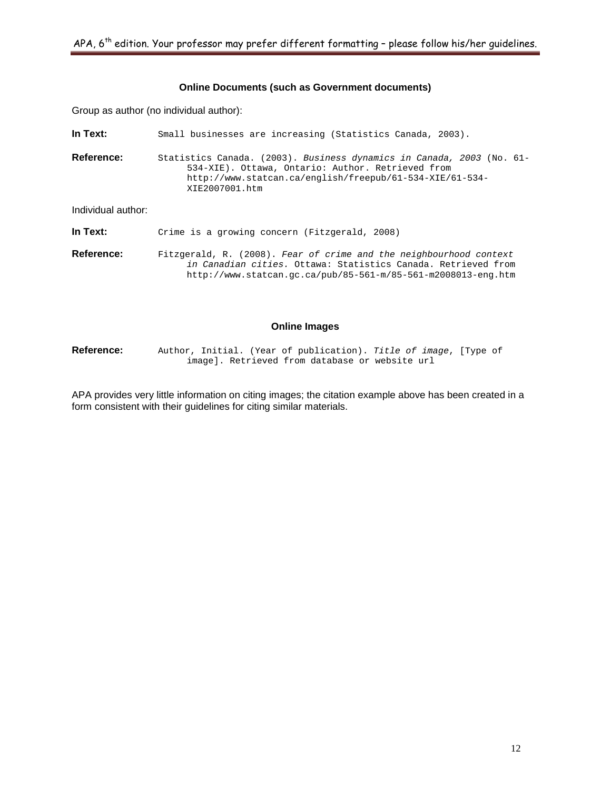## **Online Documents (such as Government documents)**

Group as author (no individual author):

| In Text:           | Small businesses are increasing (Statistics Canada, 2003).                                                                                                                                               |
|--------------------|----------------------------------------------------------------------------------------------------------------------------------------------------------------------------------------------------------|
| <b>Reference:</b>  | Statistics Canada. (2003). Business dynamics in Canada, 2003 (No. 61-<br>534-XIE). Ottawa, Ontario: Author. Retrieved from<br>http://www.statcan.ca/english/freepub/61-534-XIE/61-534-<br>XIE2007001.htm |
| Individual author: |                                                                                                                                                                                                          |
| In Text:           | Crime is a growing concern (Fitzgerald, 2008)                                                                                                                                                            |

**Reference:** Fitzgerald, R. (2008). *Fear of crime and the neighbourhood context in Canadian cities.* Ottawa: Statistics Canada. Retrieved from http://www.statcan.gc.ca/pub/85-561-m/85-561-m2008013-eng.htm

#### **Online Images**

**Reference:** Author, Initial. (Year of publication). *Title of image*, [Type of image]. Retrieved from database or website url

APA provides very little information on citing images; the citation example above has been created in a form consistent with their guidelines for citing similar materials.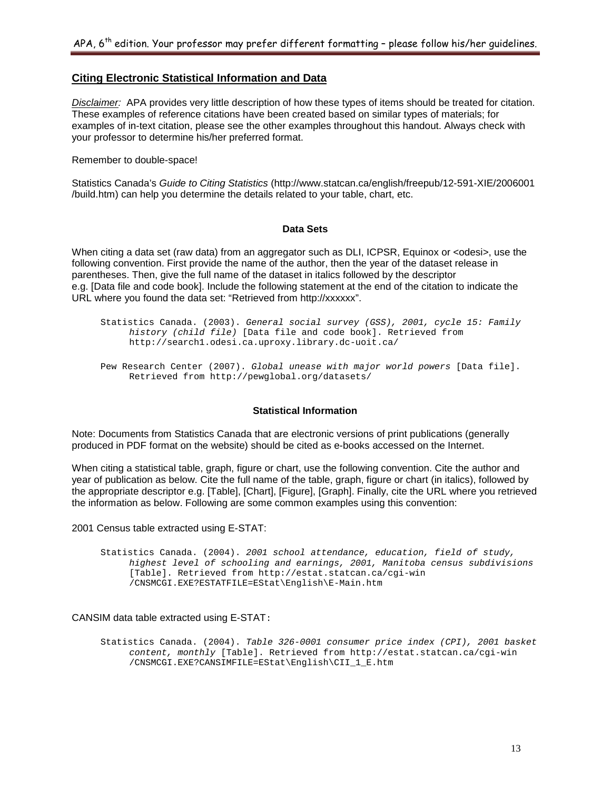## **Citing Electronic Statistical Information and Data**

*Disclaimer:* APA provides very little description of how these types of items should be treated for citation. These examples of reference citations have been created based on similar types of materials; for examples of in-text citation, please see the other examples throughout this handout. Always check with your professor to determine his/her preferred format.

Remember to double-space!

Statistics Canada's *Guide to Citing Statistics* (http://www.statcan.ca/english/freepub/12-591-XIE/2006001 /build.htm) can help you determine the details related to your table, chart, etc.

#### **Data Sets**

When citing a data set (raw data) from an aggregator such as DLI, ICPSR, Equinox or <odesi>, use the following convention. First provide the name of the author, then the year of the dataset release in parentheses. Then, give the full name of the dataset in italics followed by the descriptor e.g. [Data file and code book]. Include the following statement at the end of the citation to indicate the URL where you found the data set: "Retrieved from http://xxxxxx".

## **Statistical Information**

Note: Documents from Statistics Canada that are electronic versions of print publications (generally produced in PDF format on the website) should be cited as e-books accessed on the Internet.

When citing a statistical table, graph, figure or chart, use the following convention. Cite the author and year of publication as below. Cite the full name of the table, graph, figure or chart (in italics), followed by the appropriate descriptor e.g. [Table], [Chart], [Figure], [Graph]. Finally, cite the URL where you retrieved the information as below. Following are some common examples using this convention:

#### 2001 Census table extracted using E-STAT:

Statistics Canada. (2004). *2001 school attendance, education, field of study, highest level of schooling and earnings, 2001, Manitoba census subdivisions*  [Table]. Retrieved from http://estat.statcan.ca/cgi-win /CNSMCGI.EXE?ESTATFILE=EStat\English\E-Main.htm

#### CANSIM data table extracted using E-STAT:

Statistics Canada. (2004). *Table 326-0001 consumer price index (CPI), 2001 basket content, monthly* [Table]. Retrieved from http://estat.statcan.ca/cgi-win /CNSMCGI.EXE?CANSIMFILE=EStat\English\CII\_1\_E.htm

Statistics Canada. (2003). *General social survey (GSS), 2001, cycle 15: Family history (child file)* [Data file and code book]. Retrieved from http://search1.odesi.ca.uproxy.library.dc-uoit.ca/

Pew Research Center (2007). *Global unease with major world powers* [Data file]. Retrieved from http://pewglobal.org/datasets/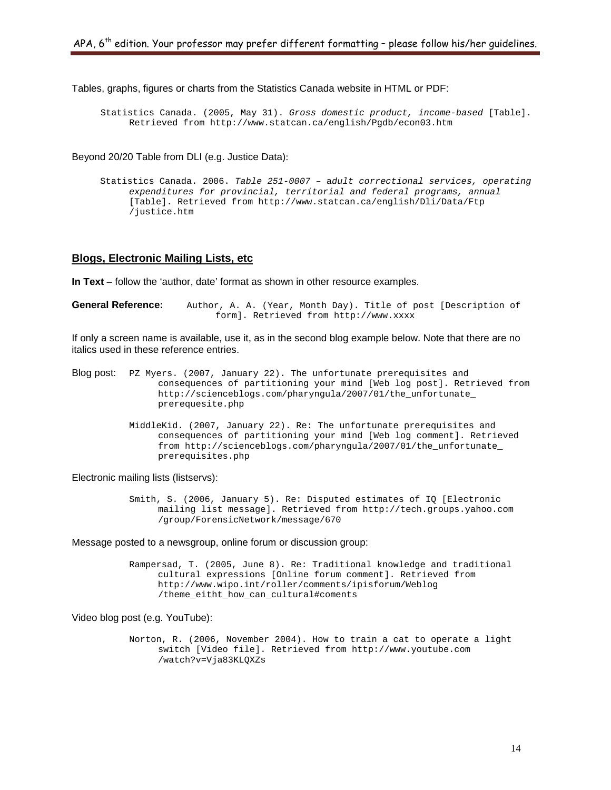Tables, graphs, figures or charts from the Statistics Canada website in HTML or PDF:

Statistics Canada. (2005, May 31). *Gross domestic product, income-based* [Table]. Retrieved from http://www.statcan.ca/english/Pgdb/econ03.htm

Beyond 20/20 Table from DLI (e.g. Justice Data):

Statistics Canada. 2006. *Table 251-0007 –* a*dult correctional services, operating expenditures for provincial, territorial and federal programs, annual* [Table]. Retrieved from http://www.statcan.ca/english/Dli/Data/Ftp /justice.htm

## **Blogs, Electronic Mailing Lists, etc**

**In Text** – follow the 'author, date' format as shown in other resource examples.

**General Reference:** Author, A. A. (Year, Month Day). Title of post [Description of form]. Retrieved from http://www.xxxx

If only a screen name is available, use it, as in the second blog example below. Note that there are no italics used in these reference entries.

- Blog post: PZ Myers. (2007, January 22). The unfortunate prerequisites and consequences of partitioning your mind [Web log post]. Retrieved from http://scienceblogs.com/pharyngula/2007/01/the\_unfortunate\_ prerequesite.php
	- MiddleKid. (2007, January 22). Re: The unfortunate prerequisites and consequences of partitioning your mind [Web log comment]. Retrieved from http://scienceblogs.com/pharyngula/2007/01/the\_unfortunate\_ prerequisites.php

Electronic mailing lists (listservs):

Smith, S. (2006, January 5). Re: Disputed estimates of IQ [Electronic mailing list message]. Retrieved from http://tech.groups.yahoo.com /group/ForensicNetwork/message/670

Message posted to a newsgroup, online forum or discussion group:

Rampersad, T. (2005, June 8). Re: Traditional knowledge and traditional cultural expressions [Online forum comment]. Retrieved from http://www.wipo.int/roller/comments/ipisforum/Weblog /theme\_eitht\_how\_can\_cultural#coments

Video blog post (e.g. YouTube):

Norton, R. (2006, November 2004). How to train a cat to operate a light switch [Video file]. Retrieved from http://www.youtube.com /watch?v=Vja83KLQXZs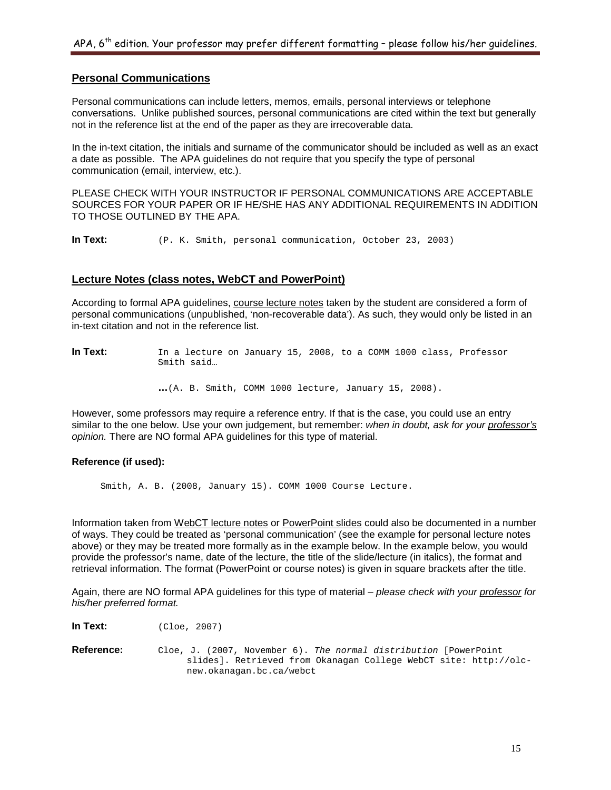## **Personal Communications**

Personal communications can include letters, memos, emails, personal interviews or telephone conversations. Unlike published sources, personal communications are cited within the text but generally not in the reference list at the end of the paper as they are irrecoverable data.

In the in-text citation, the initials and surname of the communicator should be included as well as an exact a date as possible. The APA guidelines do not require that you specify the type of personal communication (email, interview, etc.).

PLEASE CHECK WITH YOUR INSTRUCTOR IF PERSONAL COMMUNICATIONS ARE ACCEPTABLE SOURCES FOR YOUR PAPER OR IF HE/SHE HAS ANY ADDITIONAL REQUIREMENTS IN ADDITION TO THOSE OUTLINED BY THE APA.

**In Text:** (P. K. Smith, personal communication, October 23, 2003)

## **Lecture Notes (class notes, WebCT and PowerPoint)**

According to formal APA guidelines, course lecture notes taken by the student are considered a form of personal communications (unpublished, 'non-recoverable data'). As such, they would only be listed in an in-text citation and not in the reference list.

In Text: In a lecture on January 15, 2008, to a COMM 1000 class, Professor Smith said…

**…**(A. B. Smith, COMM 1000 lecture, January 15, 2008).

However, some professors may require a reference entry. If that is the case, you could use an entry similar to the one below. Use your own judgement, but remember: *when in doubt, ask for your professor's opinion.* There are NO formal APA guidelines for this type of material.

## **Reference (if used):**

Smith, A. B. (2008, January 15). COMM 1000 Course Lecture.

Information taken from WebCT lecture notes or PowerPoint slides could also be documented in a number of ways. They could be treated as 'personal communication' (see the example for personal lecture notes above) or they may be treated more formally as in the example below. In the example below, you would provide the professor's name, date of the lecture, the title of the slide/lecture (in italics), the format and retrieval information. The format (PowerPoint or course notes) is given in square brackets after the title.

Again, there are NO formal APA guidelines for this type of material – *please check with your professor for his/her preferred format.*

**In Text:** (Cloe, 2007)

**Reference:** Cloe, J. (2007, November 6). *The normal distribution* [PowerPoint slides]. Retrieved from Okanagan College WebCT site: http://olcnew.okanagan.bc.ca/webct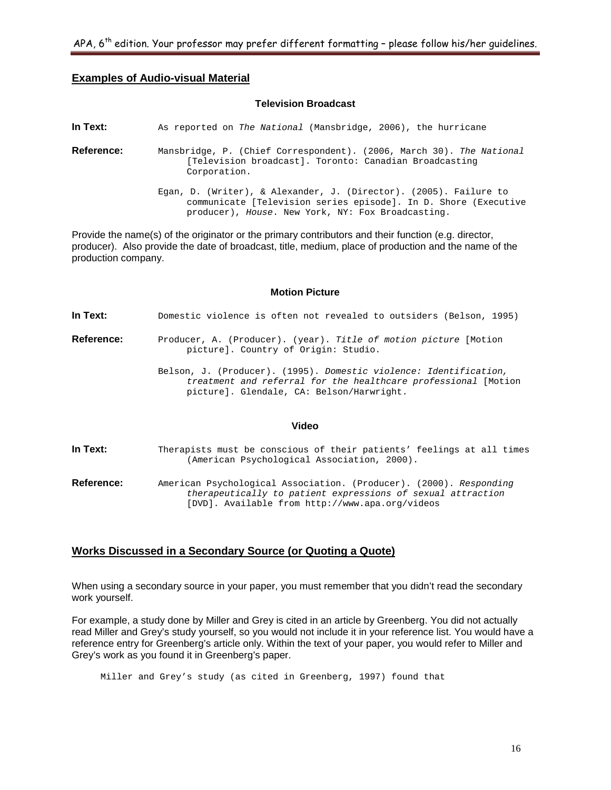## **Examples of Audio-visual Material**

#### **Television Broadcast**

**In Text:** As reported on *The National* (Mansbridge, 2006), the hurricane

- **Reference:** Mansbridge, P. (Chief Correspondent). (2006, March 30). *The National* [Television broadcast]. Toronto: Canadian Broadcasting Corporation.
	- Egan, D. (Writer), & Alexander, J. (Director). (2005). Failure to communicate [Television series episode]. In D. Shore (Executive producer), *House*. New York, NY: Fox Broadcasting.

Provide the name(s) of the originator or the primary contributors and their function (e.g. director, producer). Also provide the date of broadcast, title, medium, place of production and the name of the production company.

#### **Motion Picture**

**In Text:** Domestic violence is often not revealed to outsiders (Belson, 1995)

- **Reference:** Producer, A. (Producer). (year). *Title of motion picture* [Motion picture]. Country of Origin: Studio.
	- Belson, J. (Producer). (1995). *Domestic violence: Identification, treatment and referral for the healthcare professional* [Motion picture]. Glendale, CA: Belson/Harwright.

#### **Video**

- In Text: Therapists must be conscious of their patients' feelings at all times (American Psychological Association, 2000).
- **Reference:** American Psychological Association. (Producer). (2000). *Responding therapeutically to patient expressions of sexual attraction*  [DVD]. Available from http://www.apa.org/videos

## **Works Discussed in a Secondary Source (or Quoting a Quote)**

When using a secondary source in your paper, you must remember that you didn't read the secondary work yourself.

For example, a study done by Miller and Grey is cited in an article by Greenberg. You did not actually read Miller and Grey's study yourself, so you would not include it in your reference list. You would have a reference entry for Greenberg's article only. Within the text of your paper, you would refer to Miller and Grey's work as you found it in Greenberg's paper.

Miller and Grey's study (as cited in Greenberg, 1997) found that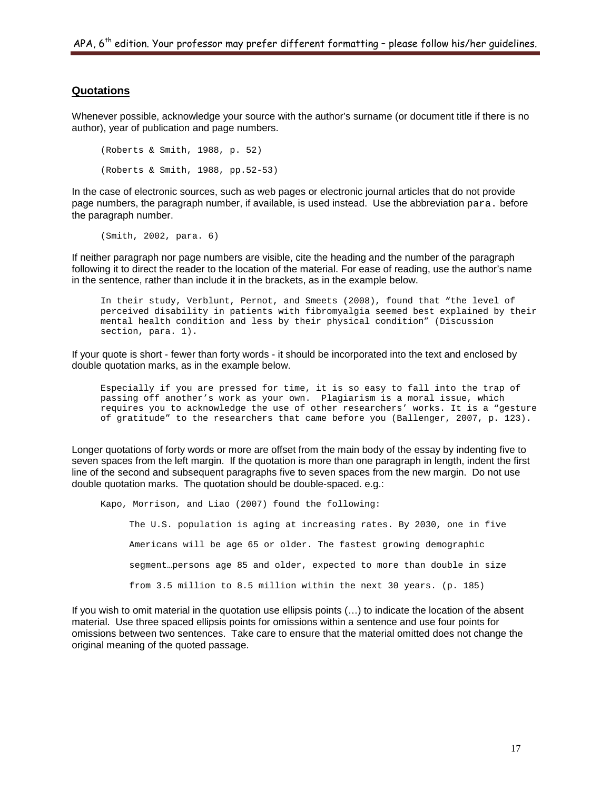## **Quotations**

Whenever possible, acknowledge your source with the author's surname (or document title if there is no author), year of publication and page numbers.

```
(Roberts & Smith, 1988, p. 52)
(Roberts & Smith, 1988, pp.52-53)
```
In the case of electronic sources, such as web pages or electronic journal articles that do not provide page numbers, the paragraph number, if available, is used instead. Use the abbreviation para. before the paragraph number.

(Smith, 2002, para. 6)

If neither paragraph nor page numbers are visible, cite the heading and the number of the paragraph following it to direct the reader to the location of the material. For ease of reading, use the author's name in the sentence, rather than include it in the brackets, as in the example below.

In their study, Verblunt, Pernot, and Smeets (2008), found that "the level of perceived disability in patients with fibromyalgia seemed best explained by their mental health condition and less by their physical condition" (Discussion section, para. 1).

If your quote is short - fewer than forty words - it should be incorporated into the text and enclosed by double quotation marks, as in the example below.

Especially if you are pressed for time, it is so easy to fall into the trap of passing off another's work as your own. Plagiarism is a moral issue, which requires you to acknowledge the use of other researchers' works. It is a "gesture of gratitude" to the researchers that came before you (Ballenger, 2007, p. 123).

Longer quotations of forty words or more are offset from the main body of the essay by indenting five to seven spaces from the left margin. If the quotation is more than one paragraph in length, indent the first line of the second and subsequent paragraphs five to seven spaces from the new margin. Do not use double quotation marks. The quotation should be double-spaced. e.g.:

Kapo, Morrison, and Liao (2007) found the following:

The U.S. population is aging at increasing rates. By 2030, one in five Americans will be age 65 or older. The fastest growing demographic segment…persons age 85 and older, expected to more than double in size from 3.5 million to 8.5 million within the next 30 years. (p. 185)

If you wish to omit material in the quotation use ellipsis points (…) to indicate the location of the absent material. Use three spaced ellipsis points for omissions within a sentence and use four points for omissions between two sentences. Take care to ensure that the material omitted does not change the original meaning of the quoted passage.